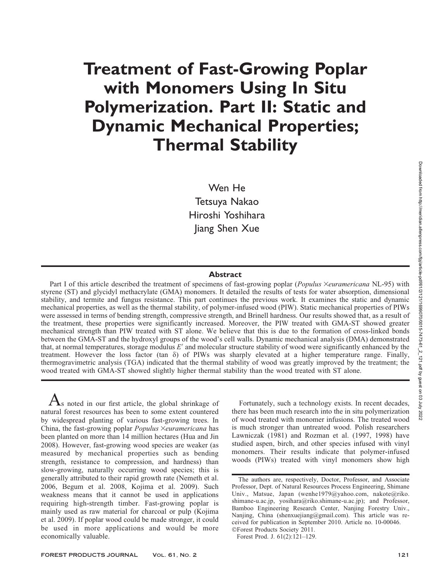# Treatment of Fast-Growing Poplar with Monomers Using In Situ Polymerization. Part II: Static and Dynamic Mechanical Properties; Thermal Stability

Wen He Tetsuya Nakao Hiroshi Yoshihara Jiang Shen Xue

#### Abstract

Part I of this article described the treatment of specimens of fast-growing poplar (Populus ×euramericana NL-95) with styrene (ST) and glycidyl methacrylate (GMA) monomers. It detailed the results of tests for water absorption, dimensional stability, and termite and fungus resistance. This part continues the previous work. It examines the static and dynamic mechanical properties, as well as the thermal stability, of polymer-infused wood (PIW). Static mechanical properties of PIWs were assessed in terms of bending strength, compressive strength, and Brinell hardness. Our results showed that, as a result of the treatment, these properties were significantly increased. Moreover, the PIW treated with GMA-ST showed greater mechanical strength than PIW treated with ST alone. We believe that this is due to the formation of cross-linked bonds between the GMA-ST and the hydroxyl groups of the wood's cell walls. Dynamic mechanical analysis (DMA) demonstrated that, at normal temperatures, storage modulus  $E'$  and molecular structure stability of wood were significantly enhanced by the treatment. However the loss factor (tan  $\delta$ ) of PIWs was sharply elevated at a higher temperature range. Finally, thermogravimetric analysis (TGA) indicated that the thermal stability of wood was greatly improved by the treatment; the wood treated with GMA-ST showed slightly higher thermal stability than the wood treated with ST alone.

 $A$ s noted in our first article, the global shrinkage of natural forest resources has been to some extent countered by widespread planting of various fast-growing trees. In China, the fast-growing poplar Populus ×euramericana has been planted on more than 14 million hectares (Hua and Jin 2008). However, fast-growing wood species are weaker (as measured by mechanical properties such as bending strength, resistance to compression, and hardness) than slow-growing, naturally occurring wood species; this is generally attributed to their rapid growth rate (Nemeth et al. 2006, Begum et al. 2008, Kojima et al. 2009). Such weakness means that it cannot be used in applications requiring high-strength timber. Fast-growing poplar is mainly used as raw material for charcoal or pulp (Kojima et al. 2009). If poplar wood could be made stronger, it could be used in more applications and would be more economically valuable.

Fortunately, such a technology exists. In recent decades, there has been much research into the in situ polymerization of wood treated with monomer infusions. The treated wood is much stronger than untreated wood. Polish researchers Lawniczak (1981) and Rozman et al. (1997, 1998) have studied aspen, birch, and other species infused with vinyl monomers. Their results indicate that polymer-infused woods (PIWs) treated with vinyl monomers show high

The authors are, respectively, Doctor, Professor, and Associate Professor, Dept. of Natural Resources Process Engineering, Shimane Univ., Matsue, Japan (wenhe1979@yahoo.com, nakote@riko. shimane-u.ac.jp, yosihara@riko.shimane-u.ac.jp); and Professor, Bamboo Engineering Research Center, Nanjing Forestry Univ., Nanjing, China (shenxuejiang@gmail.com). This article was received for publication in September 2010. Article no. 10-00046. -Forest Products Society 2011.

Forest Prod. J. 61(2):121–129.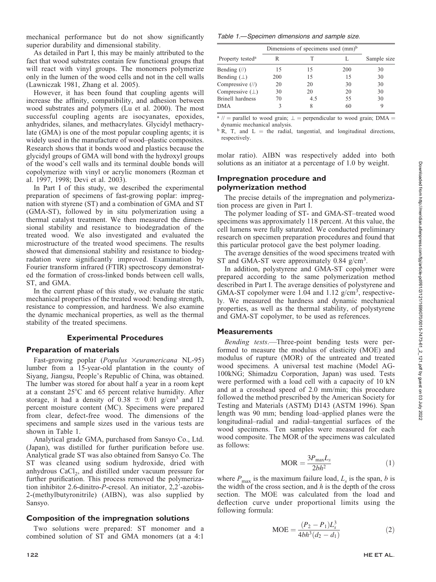mechanical performance but do not show significantly superior durability and dimensional stability.

As detailed in Part I, this may be mainly attributed to the fact that wood substrates contain few functional groups that will react with vinyl groups. The monomers polymerize only in the lumen of the wood cells and not in the cell walls (Lawniczak 1981, Zhang et al. 2005).

However, it has been found that coupling agents will increase the affinity, compatibility, and adhesion between wood substrates and polymers (Lu et al. 2000). The most successful coupling agents are isocyanates, epoxides, anhydrides, silanes, and methacrylates. Glycidyl methacrylate (GMA) is one of the most popular coupling agents; it is widely used in the manufacture of wood–plastic composites. Research shows that it bonds wood and plastics because the glycidyl groups of GMA will bond with the hydroxyl groups of the wood's cell walls and its terminal double bonds will copolymerize with vinyl or acrylic monomers (Rozman et al. 1997, 1998; Devi et al. 2003).

In Part I of this study, we described the experimental preparation of specimens of fast-growing poplar: impregnation with styrene (ST) and a combination of GMA and ST (GMA-ST), followed by in situ polymerization using a thermal catalyst treatment. We then measured the dimensional stability and resistance to biodegradation of the treated wood. We also investigated and evaluated the microstructure of the treated wood specimens. The results showed that dimensional stability and resistance to biodegradation were significantly improved. Examination by Fourier transform infrared (FTIR) spectroscopy demonstrated the formation of cross-linked bonds between cell walls, ST, and GMA.

In the current phase of this study, we evaluate the static mechanical properties of the treated wood: bending strength, resistance to compression, and hardness. We also examine the dynamic mechanical properties, as well as the thermal stability of the treated specimens.

## Experimental Procedures

## Preparation of materials

Fast-growing poplar (Populus Xeuramericana NL-95) lumber from a 15-year-old plantation in the county of Siyang, Jiangsu, People's Republic of China, was obtained. The lumber was stored for about half a year in a room kept at a constant  $25^{\circ}$ C and 65 percent relative humidity. After storage, it had a density of  $0.38 \pm 0.01$  g/cm<sup>3</sup> and 12 percent moisture content (MC). Specimens were prepared from clear, defect-free wood. The dimensions of the specimens and sample sizes used in the various tests are shown in Table 1.

Analytical grade GMA, purchased from Sansyo Co., Ltd. (Japan), was distilled for further purification before use. Analytical grade ST was also obtained from Sansyo Co. The ST was cleaned using sodium hydroxide, dried with anhydrous  $CaCl<sub>2</sub>$ , and distilled under vacuum pressure for further purification. This process removed the polymerization inhibitor 2.6-dinitro-P-cresol. An initiator, 2,2'-azobis-2-(methylbutyronitrile) (AIBN), was also supplied by Sansyo.

# Composition of the impregnation solutions

Two solutions were prepared: ST monomer and a combined solution of ST and GMA monomers (at a 4:1

Table 1.—Specimen dimensions and sample size.

|                                | Dimensions of specimens used (mm) <sup>b</sup> |     |     |             |  |
|--------------------------------|------------------------------------------------|-----|-----|-------------|--|
| Property tested <sup>a</sup>   | R                                              |     |     | Sample size |  |
| Bending $(\frac{1}{\sqrt{2}})$ | 15                                             | 15  | 200 | 30          |  |
| Bending $(\perp)$              | 200                                            | 15  | 15  | 30          |  |
| Compressive (//)               | 20                                             | 20  | 30  | 30          |  |
| Compressive $(\perp)$          | 30                                             | 20  | 20  | 30          |  |
| Brinell hardness               | 70                                             | 4.5 | 55  | 30          |  |
| DMA                            | 3                                              | 8   | 60  |             |  |

<sup>a</sup> // = parallel to wood grain;  $\perp$  = perpendicular to wood grain; DMA = dynamic mechanical analysis.

 $\overrightarrow{b}$  R, T, and L = the radial, tangential, and longitudinal directions, respectively.

molar ratio). AIBN was respectively added into both solutions as an initiator at a percentage of 1.0 by weight.

# Impregnation procedure and polymerization method

The precise details of the impregnation and polymerization process are given in Part I.

The polymer loading of ST- and GMA-ST–treated wood specimens was approximately 118 percent. At this value, the cell lumens were fully saturated. We conducted preliminary research on specimen preparation procedures and found that this particular protocol gave the best polymer loading.

The average densities of the wood specimens treated with ST and GMA-ST were approximately 0.84 g/cm<sup>3</sup>.

In addition, polystyrene and GMA-ST copolymer were prepared according to the same polymerization method described in Part I. The average densities of polystyrene and GMA-ST copolymer were 1.04 and 1.12  $g/cm^3$ , respectively. We measured the hardness and dynamic mechanical properties, as well as the thermal stability, of polystyrene and GMA-ST copolymer, to be used as references.

## **Measurements**

Bending tests.—Three-point bending tests were performed to measure the modulus of elasticity (MOE) and modulus of rupture (MOR) of the untreated and treated wood specimens. A universal test machine (Model AG-100kNG; Shimadzu Corporation, Japan) was used. Tests were performed with a load cell with a capacity of 10 kN and at a crosshead speed of 2.0 mm/min; this procedure followed the method prescribed by the American Society for Testing and Materials (ASTM) D143 (ASTM 1996). Span length was 90 mm; bending load–applied planes were the longitudinal–radial and radial–tangential surfaces of the wood specimens. Ten samples were measured for each wood composite. The MOR of the specimens was calculated as follows:

$$
MOR = \frac{3P_{\text{max}}L_s}{2bh^2}
$$
 (1)

where  $P_{\text{max}}$  is the maximum failure load,  $L_s$  is the span, b is the width of the cross section, and  $h$  is the depth of the cross section. The MOE was calculated from the load and deflection curve under proportional limits using the following formula:

$$
MOE = \frac{(P_2 - P_1)L_s^3}{4bh^3(d_2 - d_1)}
$$
 (2)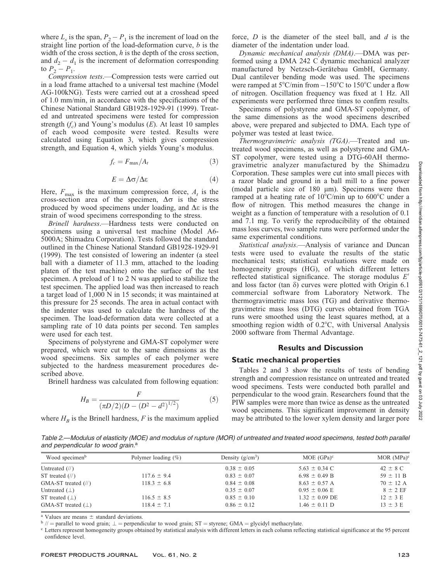where  $L_s$  is the span,  $P_2 - P_1$  is the increment of load on the straight line portion of the load-deformation curve,  $b$  is the width of the cross section,  $h$  is the depth of the cross section, and  $d_2 - d_1$  is the increment of deformation corresponding to  $P_2 - P_1$ .

Compression tests.—Compression tests were carried out in a load frame attached to a universal test machine (Model AG-100kNG). Tests were carried out at a crosshead speed of 1.0 mm/min, in accordance with the specifications of the Chinese National Standard GB1928-1929-91 (1999). Treated and untreated specimens were tested for compression strength  $(f_c)$  and Young's modulus  $(E)$ . At least 10 samples of each wood composite were tested. Results were calculated using Equation 3, which gives compression strength, and Equation 4, which yields Young's modulus.

$$
f_c = F_{\text{max}}/A_t \tag{3}
$$

$$
E = \Delta \sigma / \Delta \varepsilon \tag{4}
$$

Here,  $F_{\text{max}}$  is the maximum compression force,  $A_t$  is the cross-section area of the specimen,  $\Delta \sigma$  is the stress produced by wood specimens under loading, and  $\Delta \varepsilon$  is the strain of wood specimens corresponding to the stress.

Brinell hardness.—Hardness tests were conducted on specimens using a universal test machine (Model A6- 5000A; Shimadzu Corporation). Tests followed the standard outlined in the Chinese National Standard GB1928-1929-91 (1999). The test consisted of lowering an indenter (a steel ball with a diameter of 11.3 mm, attached to the loading platen of the test machine) onto the surface of the test specimen. A preload of 1 to 2 N was applied to stabilize the test specimen. The applied load was then increased to reach a target load of 1,000 N in 15 seconds; it was maintained at this pressure for 25 seconds. The area in actual contact with the indenter was used to calculate the hardness of the specimen. The load-deformation data were collected at a sampling rate of 10 data points per second. Ten samples were used for each test.

Specimens of polystyrene and GMA-ST copolymer were prepared, which were cut to the same dimensions as the wood specimens. Six samples of each polymer were subjected to the hardness measurement procedures described above.

Brinell hardness was calculated from following equation:

$$
H_B = \frac{F}{(\pi D/2)(D - (D^2 - d^2)^{1/2})}
$$
(5)

where  $H_B$  is the Brinell hardness, F is the maximum applied

force,  $D$  is the diameter of the steel ball, and  $d$  is the diameter of the indentation under load.

Dynamic mechanical analysis (DMA).—DMA was performed using a DMA 242 C dynamic mechanical analyzer manufactured by Netzsch-Gerätebau GmbH, Germany. Dual cantilever bending mode was used. The specimens were ramped at  $5^{\circ}$ C/min from  $-150^{\circ}$ C to  $150^{\circ}$ C under a flow of nitrogen. Oscillation frequency was fixed at 1 Hz. All experiments were performed three times to confirm results.

Specimens of polystyrene and GMA-ST copolymer, of the same dimensions as the wood specimens described above, were prepared and subjected to DMA. Each type of polymer was tested at least twice.

Thermogravimetric analysis (TGA).—Treated and untreated wood specimens, as well as polystyrene and GMA-ST copolymer, were tested using a DTG-60AH thermogravimetric analyzer manufactured by the Shimadzu Corporation. These samples were cut into small pieces with a razor blade and ground in a ball mill to a fine power (modal particle size of  $180 \mu m$ ). Specimens were then ramped at a heating rate of  $10^{\circ}$ C/min up to  $600^{\circ}$ C under a flow of nitrogen. This method measures the change in weight as a function of temperature with a resolution of 0.1 and 7.1 mg. To verify the reproducibility of the obtained mass loss curves, two sample runs were performed under the same experimental conditions.

Statistical analysis.—Analysis of variance and Duncan tests were used to evaluate the results of the static mechanical tests; statistical evaluations were made on homogeneity groups (HG), of which different letters reflected statistical significance. The storage modulus  $E'$ and loss factor (tan  $\delta$ ) curves were plotted with Origin 6.1 commercial software from Laboratory Network. The thermogravimetric mass loss (TG) and derivative thermogravimetric mass loss (DTG) curves obtained from TGA runs were smoothed using the least squares method, at a smoothing region width of  $0.2^{\circ}$ C, with Universal Analysis 2000 software from Thermal Advantage.

## Results and Discussion

## Static mechanical properties

Tables 2 and 3 show the results of tests of bending strength and compression resistance on untreated and treated wood specimens. Tests were conducted both parallel and perpendicular to the wood grain. Researchers found that the PIW samples were more than twice as dense as the untreated wood specimens. This significant improvement in density may be attributed to the lower xylem density and larger pore

Table 2.—Modulus of elasticity (MOE) and modulus of rupture (MOR) of untreated and treated wood specimens, tested both parallel and perpendicular to wood grain.<sup>a</sup>

| Wood specimen <sup>b</sup>            | Polymer loading $(\%)$ | Density $(g/cm^3)$ | MOE $(GPa)^c$      | MOR $(MPa)^c$ |
|---------------------------------------|------------------------|--------------------|--------------------|---------------|
| Untreated $(\frac{1}{\sqrt{2}})$      |                        | $0.38 \pm 0.05$    | $5.63 \pm 0.34$ C  | $42 \pm 8$ C  |
| ST treated $(\frac{1}{\sqrt{2}})$     | $117.6 \pm 9.4$        | $0.83 \pm 0.07$    | $6.98 \pm 0.49$ B  | $59 \pm 11 B$ |
| GMA-ST treated $(\frac{1}{\sqrt{2}})$ | $118.3 \pm 6.8$        | $0.84 \pm 0.08$    | $8.63 \pm 0.57$ A  | $70 \pm 12$ A |
| Untreated $(\perp)$                   |                        | $0.35 \pm 0.07$    | $0.95 \pm 0.06$ E  | $8 \pm 2$ EF  |
| ST treated $( \perp )$                | $116.5 \pm 8.5$        | $0.85 \pm 0.10$    | $1.32 \pm 0.09$ DE | $12 \pm 3$ E  |
| GMA-ST treated $(\perp)$              | $118.4 \pm 7.1$        | $0.86 \pm 0.12$    | $1.46 \pm 0.11$ D  | $13 \pm 3$ E  |

<sup>a</sup> Values are means  $\pm$  standard deviations.<br>  $\frac{b}{a}$  // = parallel to wood grain;  $\pm$  = perpendicular to wood grain; ST = styrene; GMA = glycidyl methacrylate.<br>
<sup>c</sup> Letters represent homogeneity groups obtained by s confidence level.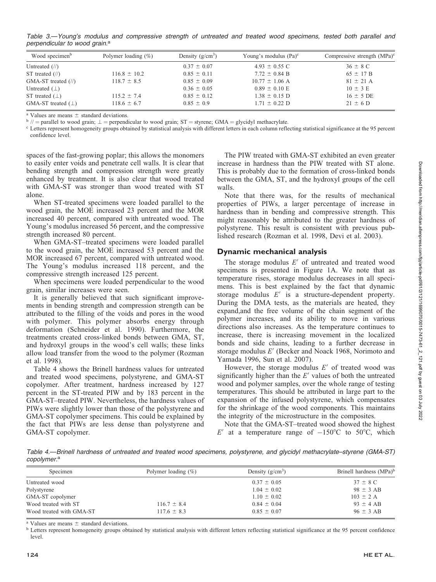Table 3.—Young's modulus and compressive strength of untreated and treated wood specimens, tested both parallel and perpendicular to wood grain.<sup>a</sup>

| Wood specimen <sup>b</sup>           | Polymer loading $(\%)$ | Density $(g/cm^3)$ | Young's modulus $(Pa)^c$ | Compressive strength $(MPa)^c$ |
|--------------------------------------|------------------------|--------------------|--------------------------|--------------------------------|
| Untreated $\left(\frac{1}{2}\right)$ |                        | $0.37 \pm 0.07$    | $4.93 \pm 0.55$ C        | $36 \pm 8$ C                   |
| ST treated $(\frac{1}{\sqrt{2}})$    | $116.8 \pm 10.2$       | $0.85 \pm 0.11$    | $7.72 \pm 0.84$ B        | $65 \pm 17 B$                  |
| GMA-ST treated $(\frac{\pi}{2})$     | $118.7 \pm 8.5$        | $0.85 \pm 0.09$    | $10.77 \pm 1.06$ A       | $81 \pm 21$ A                  |
| Untreated $(\perp)$                  |                        | $0.36 \pm 0.05$    | $0.89 \pm 0.10$ E        | $10 \pm 3$ E                   |
| ST treated $(\perp)$                 | $115.2 \pm 7.4$        | $0.85 \pm 0.12$    | $1.38 \pm 0.15$ D        | $16 \pm 5$ DE                  |
| GMA-ST treated $(\perp)$             | $118.6 \pm 6.7$        | $0.85 \pm 0.9$     | $1.71 \pm 0.22$ D        | $21 \pm 6$ D                   |

<sup>a</sup> Values are means  $\pm$  standard deviations.<br>  $\frac{b}{m}$  = parallel to wood grain;  $\pm$  = perpendicular to wood grain; ST = styrene; GMA = glycidyl methacrylate.<br>
<sup>c</sup> Letters represent homogeneity groups obtained by stat confidence level.

spaces of the fast-growing poplar; this allows the monomers to easily enter voids and penetrate cell walls. It is clear that bending strength and compression strength were greatly enhanced by treatment. It is also clear that wood treated with GMA-ST was stronger than wood treated with ST alone.

When ST-treated specimens were loaded parallel to the wood grain, the MOE increased 23 percent and the MOR increased 40 percent, compared with untreated wood. The Young's modulus increased 56 percent, and the compressive strength increased 80 percent.

When GMA-ST–treated specimens were loaded parallel to the wood grain, the MOE increased 53 percent and the MOR increased 67 percent, compared with untreated wood. The Young's modulus increased 118 percent, and the compressive strength increased 125 percent.

When specimens were loaded perpendicular to the wood grain, similar increases were seen.

It is generally believed that such significant improvements in bending strength and compression strength can be attributed to the filling of the voids and pores in the wood with polymer. This polymer absorbs energy through deformation (Schneider et al. 1990). Furthermore, the treatments created cross-linked bonds between GMA, ST, and hydroxyl groups in the wood's cell walls; these links allow load transfer from the wood to the polymer (Rozman et al. 1998).

Table 4 shows the Brinell hardness values for untreated and treated wood specimens, polystyrene, and GMA-ST copolymer. After treatment, hardness increased by 127 percent in the ST-treated PIW and by 183 percent in the GMA-ST–treated PIW. Nevertheless, the hardness values of PIWs were slightly lower than those of the polystyrene and GMA-ST copolymer specimens. This could be explained by the fact that PIWs are less dense than polystyrene and GMA-ST copolymer.

The PIW treated with GMA-ST exhibited an even greater increase in hardness than the PIW treated with ST alone. This is probably due to the formation of cross-linked bonds between the GMA, ST, and the hydroxyl groups of the cell walls.

Note that there was, for the results of mechanical properties of PIWs, a larger percentage of increase in hardness than in bending and compressive strength. This might reasonably be attributed to the greater hardness of polystyrene. This result is consistent with previous published research (Rozman et al. 1998, Devi et al. 2003).

#### Dynamic mechanical analysis

The storage modulus  $E'$  of untreated and treated wood specimens is presented in Figure 1A. We note that as temperature rises, storage modulus decreases in all specimens. This is best explained by the fact that dynamic storage modulus  $E'$  is a structure-dependent property. During the DMA tests, as the materials are heated, they expand,and the free volume of the chain segment of the polymer increases, and its ability to move in various directions also increases. As the temperature continues to increase, there is increasing movement in the localized bonds and side chains, leading to a further decrease in storage modulus  $E'$  (Becker and Noack 1968, Norimoto and Yamada 1996, Sun et al. 2007).

However, the storage modulus  $E'$  of treated wood was significantly higher than the  $E'$  values of both the untreated wood and polymer samples, over the whole range of testing temperatures. This should be attributed in large part to the expansion of the infused polystyrene, which compensates for the shrinkage of the wood components. This maintains the integrity of the microstructure in the composites.

Note that the GMA-ST–treated wood showed the highest E' at a temperature range of  $-150^{\circ}$ C to 50°C, which

Table 4.—Brinell hardness of untreated and treated wood specimens, polystyrene, and glycidyl methacrylate–styrene (GMA-ST) copolymer.<sup>a</sup>

| Specimen                 | Polymer loading $(\% )$ | Density $(g/cm^3)$ | Brinell hardness (MPa) <sup>b</sup> |
|--------------------------|-------------------------|--------------------|-------------------------------------|
| Untreated wood           |                         | $0.37 \pm 0.05$    | $37 \pm 8$ C                        |
| Polystyrene              |                         | $1.04 \pm 0.02$    | $98 \pm 3$ AB                       |
| GMA-ST copolymer         |                         | $1.10 \pm 0.02$    | $103 \pm 2$ A                       |
| Wood treated with ST     | $116.7 \pm 8.4$         | $0.84 \pm 0.04$    | $93 \pm 4$ AB                       |
| Wood treated with GMA-ST | $117.6 \pm 8.3$         | $0.85 \pm 0.07$    | $96 \pm 3$ AB                       |

<sup>a</sup> Values are means  $\pm$  standard deviations.<br><sup>b</sup> Letters represent homogeneity groups obtained by statistical analysis with different letters reflecting statistical significance at the 95 percent confidence level.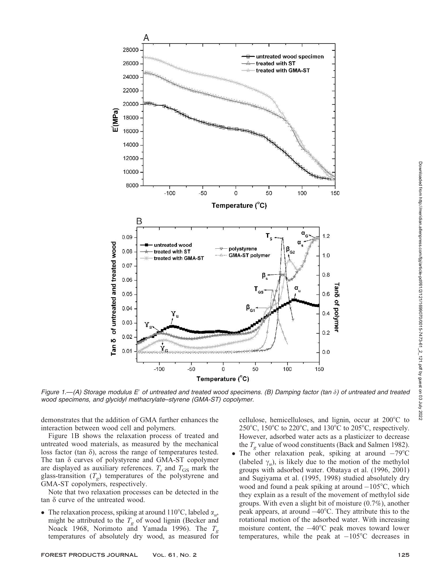

Figure 1.—(A) Storage modulus E' of untreated and treated wood specimens. (B) Damping factor (tan  $\delta$ ) of untreated and treated wood specimens, and glycidyl methacrylate–styrene (GMA-ST) copolymer.

demonstrates that the addition of GMA further enhances the interaction between wood cell and polymers.

Figure 1B shows the relaxation process of treated and untreated wood materials, as measured by the mechanical loss factor (tan  $\delta$ ), across the range of temperatures tested. The tan  $\delta$  curves of polystyrene and GMA-ST copolymer are displayed as auxiliary references.  $T_s$  and  $T_{GS}$  mark the glass-transition  $(T_{\rho})$  temperatures of the polystyrene and GMA-ST copolymers, respectively.

Note that two relaxation processes can be detected in the tan  $\delta$  curve of the untreated wood.

• The relaxation process, spiking at around 110°C, labeled  $\alpha_{u}$ , might be attributed to the  $T_g$  of wood lignin (Becker and Noack 1968, Norimoto and Yamada 1996). The  $T_{g}$ temperatures of absolutely dry wood, as measured for

cellulose, hemicelluloses, and lignin, occur at  $200^{\circ}$ C to 250°C, 150°C to 220°C, and 130°C to 205°C, respectively. However, adsorbed water acts as a plasticizer to decrease the  $T<sub>o</sub>$  value of wood constituents (Back and Salmen 1982).

• The other relaxation peak, spiking at around  $-79^{\circ}$ C (labeled  $\gamma_{\nu}$ ), is likely due to the motion of the methylol groups with adsorbed water. Obataya et al. (1996, 2001) and Sugiyama et al. (1995, 1998) studied absolutely dry wood and found a peak spiking at around  $-105^{\circ}$ C, which they explain as a result of the movement of methylol side groups. With even a slight bit of moisture (0.7%), another peak appears, at around  $-40^{\circ}$ C. They attribute this to the rotational motion of the adsorbed water. With increasing moisture content, the  $-40^{\circ}$ C peak moves toward lower temperatures, while the peak at  $-105^{\circ}$ C decreases in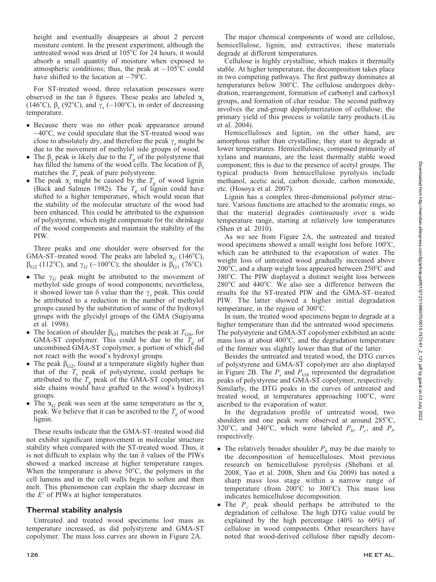height and eventually disappears at about 2 percent moisture content. In the present experiment, although the untreated wood was dried at 105°C for 24 hours, it would absorb a small quantity of moisture when exposed to atmospheric conditions; thus, the peak at  $-105^{\circ}$ C could have shifted to the location at  $-79^{\circ}$ C.

For ST-treated wood, three relaxation processes were observed in the tan  $\delta$  figures. These peaks are labeled  $\alpha_s$ (146°C),  $\beta_s$  (92°C), and  $\gamma_s$  (-100°C), in order of decreasing temperature.

- Because there was no other peak appearance around  $-40^{\circ}$ C, we could speculate that the ST-treated wood was close to absolutely dry, and therefore the peak  $\gamma_s$  might be due to the movement of methylol side groups of wood.
- The  $\beta_s$  peak is likely due to the  $T_g$  of the polystyrene that has filled the lumens of the wood cells. The location of  $\beta_s$ matches the  $T_s$  peak of pure polystyrene.
- The peak  $\alpha_s$  might be caused by the  $T_g$  of wood lignin (Back and Salmen 1982). The  $T_g$  of lignin could have shifted to a higher temperature, which would mean that the stability of the molecular structure of the wood had been enhanced. This could be attributed to the expansion of polystyrene, which might compensate for the shrinkage of the wood components and maintain the stability of the PIW.

Three peaks and one shoulder were observed for the GMA-ST–treated wood. The peaks are labeled  $\alpha_G$  (146°C),  $\beta_{G2}$  (112°C), and  $\gamma_G$  (-100°C); the shoulder is  $\beta_{G1}$  (76°C).

- The  $\gamma_G$  peak might be attributed to the movement of methylol side groups of wood components; nevertheless, it showed lower tan  $\delta$  value than the  $\gamma_s$  peak. This could be attributed to a reduction in the number of methylol groups caused by the substitution of some of the hydroxyl groups with the glycidyl groups of the GMA (Sugiyama et al. 1998).
- The location of shoulder  $\beta_{G1}$  matches the peak at  $T_{GS}$ , for GMA-ST copolymer. This could be due to the  $T_{g}$  of uncombined GMA-ST copolymer, a portion of which did not react with the wood's hydroxyl groups.
- The peak  $\beta_{G2}$ , found at a temperature slightly higher than that of the  $T_s$  peak of polystyrene, could perhaps be attributed to the  $T_g$  peak of the GMA-ST copolymer; its side chains would have grafted to the wood's hydroxyl groups.
- The  $\alpha_G$  peak was seen at the same temperature as the  $\alpha_S$ peak. We believe that it can be ascribed to the  $T_g$  of wood lignin.

These results indicate that the GMA-ST–treated wood did not exhibit significant improvement in molecular structure stability when compared with the ST-treated wood. Thus, it is not difficult to explain why the tan  $\delta$  values of the PIWs showed a marked increase at higher temperature ranges. When the temperature is above  $50^{\circ}$ C, the polymers in the cell lumens and in the cell walls begin to soften and then melt. This phenomenon can explain the sharp decrease in the  $E'$  of PIWs at higher temperatures.

## Thermal stability analysis

Untreated and treated wood specimens lost mass as temperature increased, as did polystyrene and GMA-ST copolymer. The mass loss curves are shown in Figure 2A.

The major chemical components of wood are cellulose, hemicellulose, lignin, and extractives; these materials degrade at different temperatures.

Cellulose is highly crystalline, which makes it thermally stable. At higher temperature, the decomposition takes place in two competing pathways. The first pathway dominates at temperatures below 300°C. The cellulose undergoes dehydration, rearrangement, formation of carbonyl and carboxyl groups, and formation of char residue. The second pathway involves the end-group depolymerization of cellulose; the primary yield of this process is volatile tarry products (Liu et al. 2004).

Hemicelluloses and lignin, on the other hand, are amorphous rather than crystalline; they start to degrade at lower temperatures. Hemicelluloses, composed primarily of xylans and mannans, are the least thermally stable wood component; this is due to the presence of acetyl groups. The typical products from hemicellulose pyrolysis include methanol, acetic acid, carbon dioxide, carbon monoxide, etc. (Hosoya et al. 2007).

Lignin has a complex three-dimensional polymer structure. Various functions are attached to the aromatic rings, so that the material degrades continuously over a wide temperature range, starting at relatively low temperatures (Shen et al. 2010).

As we see from Figure 2A, the untreated and treated wood specimens showed a small weight loss before  $100^{\circ}$ C, which can be attributed to the evaporation of water. The weight loss of untreated wood gradually increased above  $200^{\circ}$ C, and a sharp weight loss appeared between  $250^{\circ}$ C and 380°C. The PIW displayed a distinct weight loss between  $280^{\circ}$ C and  $440^{\circ}$ C. We also see a difference between the results for the ST-treated PIW and the GMA-ST–treated PIW. The latter showed a higher initial degradation temperature, in the region of  $300^{\circ}$ C.

In sum, the treated wood specimens began to degrade at a higher temperature than did the untreated wood specimens. The polystyrene and GMA-ST copolymer exhibited an acute mass loss at about  $400^{\circ}$ C, and the degradation temperature of the former was slightly lower than that of the latter.

Besides the untreated and treated wood, the DTG curves of polystyrene and GMA-ST copolymer are also displayed in Figure 2B. The  $P_s$  and  $P_{GS}$  represented the degradation peaks of polystyrene and GMA-ST copolymer, respectively. Similarly, the DTG peaks in the curves of untreated and treated wood, at temperatures approaching  $100^{\circ}$ C, were ascribed to the evaporation of water.

In the degradation profile of untreated wood, two shoulders and one peak were observed at around  $285^{\circ}$ C, 320°C, and 340°C, which were labeled  $P_h$ ,  $P_c$ , and  $P_h$ respectively.

- The relatively broader shoulder  $P_h$  may be due mainly to the decomposition of hemicelluloses. Most previous research on hemicellulose pyrolysis (Shebani et al. 2008, Yao et al. 2008, Shen and Gu 2009) has noted a sharp mass loss stage within a narrow range of temperature (from  $200^{\circ}$ C to  $300^{\circ}$ C). This mass loss indicates hemicellulose decomposition.
- The  $P_c$  peak should perhaps be attributed to the degradation of cellulose. The high DTG value could be explained by the high percentage (40% to 60%) of cellulose in wood components. Other researchers have noted that wood-derived cellulose fiber rapidly decom-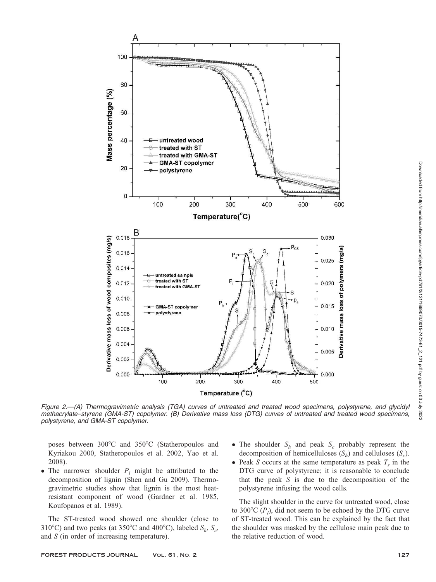

Figure 2.—(A) Thermogravimetric analysis (TGA) curves of untreated and treated wood specimens, polystyrene, and glycidyl methacrylate–styrene (GMA-ST) copolymer. (B) Derivative mass loss (DTG) curves of untreated and treated wood specimens, polystyrene, and GMA-ST copolymer.

poses between 300°C and 350°C (Statheropoulos and Kyriakou 2000, Statheropoulos et al. 2002, Yao et al. 2008).

• The narrower shoulder  $P_l$  might be attributed to the decomposition of lignin (Shen and Gu 2009). Thermogravimetric studies show that lignin is the most heatresistant component of wood (Gardner et al. 1985, Koufopanos et al. 1989).

The ST-treated wood showed one shoulder (close to 310°C) and two peaks (at 350°C and 400°C), labeled  $S_h$ ,  $S_c$ , and S (in order of increasing temperature).

- The shoulder  $S_h$  and peak  $S_c$  probably represent the decomposition of hemicelluloses  $(S_h)$  and celluloses  $(S_c)$ .
- Peak S occurs at the same temperature as peak  $T<sub>s</sub>$  in the DTG curve of polystyrene; it is reasonable to conclude that the peak  $S$  is due to the decomposition of the polystyrene infusing the wood cells.

The slight shoulder in the curve for untreated wood, close to 300°C  $(P_l)$ , did not seem to be echoed by the DTG curve of ST-treated wood. This can be explained by the fact that the shoulder was masked by the cellulose main peak due to the relative reduction of wood.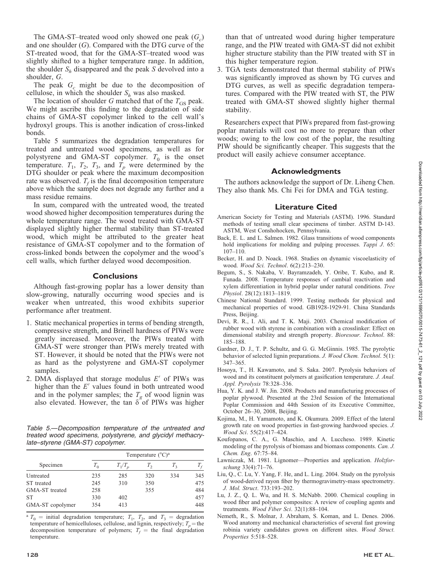The GMA-ST–treated wood only showed one peak  $(G<sub>c</sub>)$ and one shoulder  $(G)$ . Compared with the DTG curve of the ST-treated wood, that for the GMA-ST–treated wood was slightly shifted to a higher temperature range. In addition, the shoulder  $S_h$  disappeared and the peak S devolved into a shoulder, G.

The peak  $G_c$  might be due to the decomposition of cellulose, in which the shoulder  $S_h$  was also masked.

The location of shoulder G matched that of the  $T_{GS}$  peak. We might ascribe this finding to the degradation of side chains of GMA-ST copolymer linked to the cell wall's hydroxyl groups. This is another indication of cross-linked bonds.

Table 5 summarizes the degradation temperatures for treated and untreated wood specimens, as well as for polystyrene and GMA-ST copolymer.  $T_0$  is the onset temperature.  $T_1$ ,  $T_2$ ,  $T_3$ , and  $T_p$  were determined by the DTG shoulder or peak where the maximum decomposition rate was observed.  $T_f$  is the final decomposition temperature above which the sample does not degrade any further and a mass residue remains.

In sum, compared with the untreated wood, the treated wood showed higher decomposition temperatures during the whole temperature range. The wood treated with GMA-ST displayed slightly higher thermal stability than ST-treated wood, which might be attributed to the greater heat resistance of GMA-ST copolymer and to the formation of cross-linked bonds between the copolymer and the wood's cell walls, which further delayed wood decomposition.

#### Conclusions

Although fast-growing poplar has a lower density than slow-growing, naturally occurring wood species and is weaker when untreated, this wood exhibits superior performance after treatment.

- 1. Static mechanical properties in terms of bending strength, compressive strength, and Brinell hardness of PIWs were greatly increased. Moreover, the PIWs treated with GMA-ST were stronger than PIWs merely treated with ST. However, it should be noted that the PIWs were not as hard as the polystyrene and GMA-ST copolymer samples.
- 2. DMA displayed that storage modulus  $E'$  of PIWs was higher than the  $E'$  values found in both untreated wood and in the polymer samples; the  $T_g$  of wood lignin was also elevated. However, the tan  $\delta$  of PIWs was higher

Table 5.—Decomposition temperature of the untreated and treated wood specimens, polystyrene, and glycidyl methacrylate–styrene (GMA-ST) copolymer.

|                  | Temperature $(^{\circ}C)^{a}$ |           |         |         |                |
|------------------|-------------------------------|-----------|---------|---------|----------------|
| Specimen         | $T_0$                         | $T_1/T_n$ | $T_{2}$ | $T_{3}$ | $T_{\epsilon}$ |
| Untreated        | 235                           | 285       | 320     | 334     | 345            |
| ST treated       | 245                           | 310       | 350     |         | 475            |
| GMA-ST treated   | 258                           |           | 355     |         | 484            |
| <b>ST</b>        | 330                           | 402       |         |         | 457            |
| GMA-ST copolymer | 354                           | 413       |         |         | 448            |

<sup>a</sup>  $T_0$  = initial degradation temperature;  $T_1$ ,  $T_2$ , and  $T_3$  = degradation temperature of hemicelluloses, cellulose, and lignin, respectively;  $T_p$  = the decomposition temperature of polymers;  $T_f$  = the final degradation temperature.

than that of untreated wood during higher temperature range, and the PIW treated with GMA-ST did not exhibit higher structure stability than the PIW treated with ST in this higher temperature region.

3. TGA tests demonstrated that thermal stability of PIWs was significantly improved as shown by TG curves and DTG curves, as well as specific degradation temperatures. Compared with the PIW treated with ST, the PIW treated with GMA-ST showed slightly higher thermal stability.

Researchers expect that PIWs prepared from fast-growing poplar materials will cost no more to prepare than other woods; owing to the low cost of the poplar, the resulting PIW should be significantly cheaper. This suggests that the product will easily achieve consumer acceptance.

## Acknowledgments

The authors acknowledge the support of Dr. Liheng Chen. They also thank Ms. Chi Fei for DMA and TGA testing.

## Literature Cited

- American Society for Testing and Materials (ASTM). 1996. Standard methods of testing small clear specimens of timber. ASTM D-143. ASTM, West Conshohocken, Pennsylvania.
- Back, E. L. and L. Salmen. 1982. Glass transitions of wood components hold implications for molding and pulping processes. Tappi J. 65: 107–110.
- Becker, H. and D. Noack. 1968. Studies on dynamic viscoelasticity of wood. Wood Sci. Technol. 6(2):213–230.
- Begum, S., S. Nakaba, V. Bayramzadeh, Y. Oribe, T. Kubo, and R. Funada. 2008. Temperature responses of cambial reactivation and xylem differentiation in hybrid poplar under natural conditions. Tree Physiol. 28(12):1813–1819.
- Chinese National Standard. 1999. Testing methods for physical and mechanical properties of wood. GB1928-1929-91. China Standards Press, Beijing.
- Devi, R. R., I. Ali, and T. K. Maji. 2003. Chemical modification of rubber wood with styrene in combination with a crosslinker: Effect on dimensional stability and strength property. Bioresour. Technol. 88: 185–188.
- Gardner, D. J., T. P. Schultz, and G. G. McGinnis. 1985. The pyrolytic behavior of selected lignin preparations. J. Wood Chem. Technol. 5(1): 347–365.
- Hosoya, T., H. Kawamoto, and S. Saka. 2007. Pyrolysis behaviors of wood and its constituent polymers at gasification temperature. J. Anal. Appl. Pyrolysis 78:328–336.
- Hua, Y. K. and J. W. Jin. 2008. Products and manufacturing processes of poplar plywood. Presented at the 23rd Session of the International Poplar Commission and 44th Session of its Executive Committee, October 26–30, 2008, Beijing.
- Kojima, M., H. Yamamoto, and K. Okumura. 2009. Effect of the lateral growth rate on wood properties in fast-growing hardwood species. J. Wood Sci. 55(2):417–424.
- Koufopanos, C. A., G. Maschio, and A. Luccheso. 1989. Kinetic modeling of the pyrolysis of biomass and biomass components. Can. J. Chem. Eng. 67:75–84.
- Lawniczak, M. 1981. Lignomer-Properties and application. Holzforschung 33(4):71–76.
- Liu, Q., C. Lu, Y. Yang, F. He, and L. Ling. 2004. Study on the pyrolysis of wood-derived rayon fiber by thermogravimetry-mass spectrometry. J. Mol. Struct. 733:193–202.
- Lu, J. Z., Q. L. Wu, and H. S. McNabb. 2000. Chemical coupling in wood fiber and polymer composites: A review of coupling agents and treatments. Wood Fiber Sci. 32(1):88–104.
- Nemeth, R., S. Molnar, J. Abraham, S. Koman, and L. Denes. 2006. Wood anatomy and mechanical characteristics of several fast growing robinia variety candidates grown on different sites. Wood Struct. Properties 5:518–528.